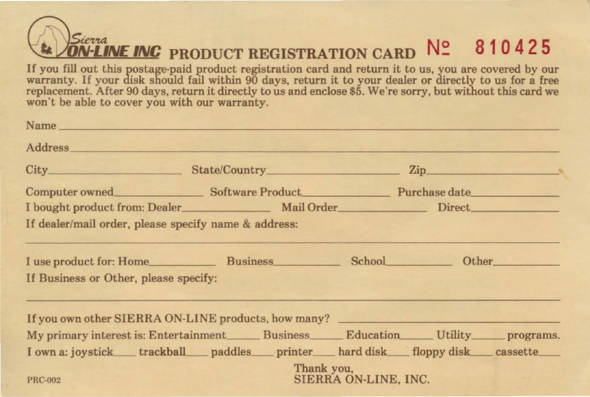## $\frac{S_{ictra}}{DN-LINE}$  **INC** product registration card  $N^{\circ}$  **810425**

If you fill out this postage-paid product registration card and return it to us, you are covered by our warranty. If your disk should fail within 90 days, return it to your dealer or directly to us for a free replacement. After 90 days, return it directly to us and enclose \$5. We're sorry, but without this card we won't be able to cover you with our warranty.

| Name has a series of the contract of the contract of the contract of the contract of the contract of the contract of the contract of the contract of the contract of the contract of the contract of the contract of the contr |                                               |             |  |
|--------------------------------------------------------------------------------------------------------------------------------------------------------------------------------------------------------------------------------|-----------------------------------------------|-------------|--|
| Address and the contract of the contract of the contract of the contract of the contract of the contract of the contract of the contract of the contract of the contract of the contract of the contract of the contract of th |                                               |             |  |
|                                                                                                                                                                                                                                |                                               |             |  |
|                                                                                                                                                                                                                                | Computer owned Software Product Purchase date |             |  |
|                                                                                                                                                                                                                                |                                               |             |  |
| If dealer/mail order, please specify name & address:                                                                                                                                                                           |                                               |             |  |
| I use product for: Home Business School Other Other School Chernell School Chernell School Chernell School Chernell School Chernell School Chernell School Chernell School Chernell School Chernell School Chernell School Che |                                               |             |  |
| If Business or Other, please specify:                                                                                                                                                                                          |                                               |             |  |
| If you own other SIERRA ON-LINE products, how many?                                                                                                                                                                            |                                               |             |  |
| My primary interest is: Entertainment Business Education Utility programs.                                                                                                                                                     |                                               |             |  |
| I own a: joystick____trackball____paddles____printer____hard disk____floppy disk____cassette____                                                                                                                               |                                               |             |  |
| <b>PRC-002</b>                                                                                                                                                                                                                 | Thank you,<br>SIERRA ON-LINE, INC.            | TA TANA MAR |  |